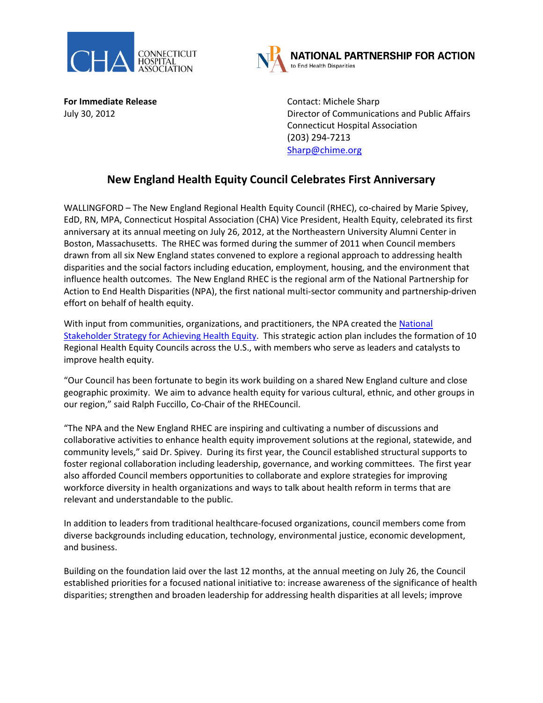



**For Immediate Release Contact: Michele Sharp** 

July 30, 2012 Director of Communications and Public Affairs Connecticut Hospital Association (203) 294-7213 [Sharp@chime.org](mailto:Sharp@chime.org)

## **New England Health Equity Council Celebrates First Anniversary**

WALLINGFORD – The New England Regional Health Equity Council (RHEC), co-chaired by Marie Spivey, EdD, RN, MPA, Connecticut Hospital Association (CHA) Vice President, Health Equity, celebrated its first anniversary at its annual meeting on July 26, 2012, at the Northeastern University Alumni Center in Boston, Massachusetts. The RHEC was formed during the summer of 2011 when Council members drawn from all six New England states convened to explore a regional approach to addressing health disparities and the social factors including education, employment, housing, and the environment that influence health outcomes. The New England RHEC is the regional arm of the National Partnership for Action to End Health Disparities (NPA), the first national multi-sector community and partnership-driven effort on behalf of health equity.

With input from communities, organizations, and practitioners, the NPA created the [National](http://www.minorityhealth.hhs.gov/npa/templates/content.aspx?lvl=1&lvlid=33&ID=286)  [Stakeholder Strategy for Achieving Health Equity.](http://www.minorityhealth.hhs.gov/npa/templates/content.aspx?lvl=1&lvlid=33&ID=286) This strategic action plan includes the formation of 10 Regional Health Equity Councils across the U.S., with members who serve as leaders and catalysts to improve health equity.

"Our Council has been fortunate to begin its work building on a shared New England culture and close geographic proximity. We aim to advance health equity for various cultural, ethnic, and other groups in our region," said Ralph Fuccillo, Co-Chair of the RHECouncil.

"The NPA and the New England RHEC are inspiring and cultivating a number of discussions and collaborative activities to enhance health equity improvement solutions at the regional, statewide, and community levels," said Dr. Spivey. During its first year, the Council established structural supports to foster regional collaboration including leadership, governance, and working committees. The first year also afforded Council members opportunities to collaborate and explore strategies for improving workforce diversity in health organizations and ways to talk about health reform in terms that are relevant and understandable to the public.

In addition to leaders from traditional healthcare-focused organizations, council members come from diverse backgrounds including education, technology, environmental justice, economic development, and business.

Building on the foundation laid over the last 12 months, at the annual meeting on July 26, the Council established priorities for a focused national initiative to: increase awareness of the significance of health disparities; strengthen and broaden leadership for addressing health disparities at all levels; improve